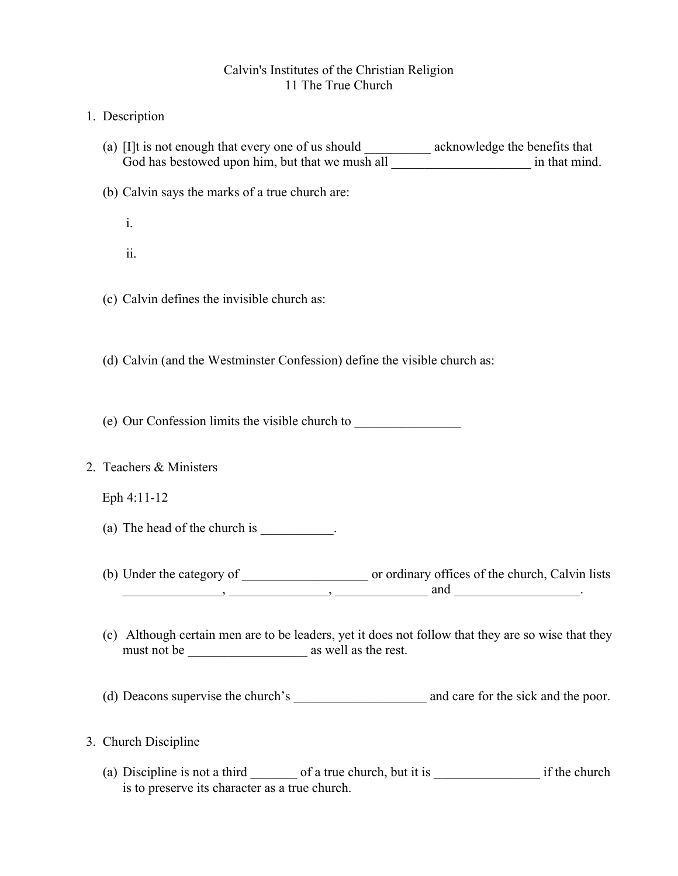## Calvin's Institutes of the Christian Religion 11 The True Church

- 1. Description
	- (a) [I]t is not enough that every one of us should acknowledge the benefits that God has bestowed upon him, but that we mush all  $\blacksquare$  in that mind.
	- (b) Calvin says the marks of a true church are:
		- i. ii.
	- (c) Calvin defines the invisible church as:
	- (d) Calvin (and the Westminster Confession) define the visible church as:
	- (e) Our Confession limits the visible church to \_\_\_\_\_\_\_\_\_\_\_\_\_\_\_\_
- 2. Teachers & Ministers

Eph 4:11-12

- (a) The head of the church is \_\_\_\_\_\_\_\_\_\_.
- (b) Under the category of \_\_\_\_\_\_\_\_\_\_\_\_\_\_\_\_\_\_\_ or ordinary offices of the church, Calvin lists  $\frac{1}{\sqrt{1-\frac{1}{2}}}\frac{1}{\sqrt{1-\frac{1}{2}}}\frac{1}{\sqrt{1-\frac{1}{2}}}\frac{1}{\sqrt{1-\frac{1}{2}}}\frac{1}{\sqrt{1-\frac{1}{2}}}\frac{1}{\sqrt{1-\frac{1}{2}}}\frac{1}{\sqrt{1-\frac{1}{2}}}\frac{1}{\sqrt{1-\frac{1}{2}}}\frac{1}{\sqrt{1-\frac{1}{2}}}\frac{1}{\sqrt{1-\frac{1}{2}}}\frac{1}{\sqrt{1-\frac{1}{2}}}\frac{1}{\sqrt{1-\frac{1}{2}}}\frac{1}{\sqrt{1-\frac{1}{2}}}\frac{1}{\sqrt{1-\frac{$
- (c) Although certain men are to be leaders, yet it does not follow that they are so wise that they must not be \_\_\_\_\_\_\_\_\_\_\_\_\_\_\_\_\_\_ as well as the rest.
- (d) Deacons supervise the church's \_\_\_\_\_\_\_\_\_\_\_\_\_\_\_\_\_\_\_\_ and care for the sick and the poor.
- 3. Church Discipline
	- (a) Discipline is not a third  $\qquad \qquad$  of a true church, but it is  $\qquad \qquad$  if the church is to preserve its character as a true church.